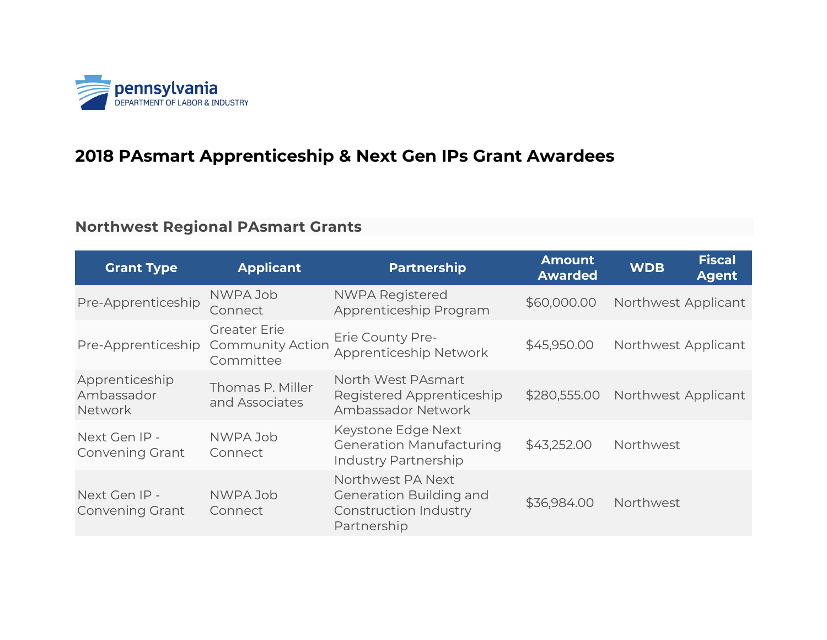

#### **2018 PAsmart Apprenticeship & Next Gen IPs Grant Awardees**

#### **Northwest Regional PAsmart Grants**

| <b>Grant Type</b>                              | <b>Applicant</b>                                            | <b>Partnership</b>                                                                   | <b>Amount</b><br><b>Awarded</b> | <b>Fiscal</b><br><b>WDB</b><br><b>Agent</b> |
|------------------------------------------------|-------------------------------------------------------------|--------------------------------------------------------------------------------------|---------------------------------|---------------------------------------------|
| Pre-Apprenticeship                             | NWPA Job<br>Connect                                         | <b>NWPA Registered</b><br>Apprenticeship Program                                     | \$60,000.00                     | Northwest Applicant                         |
| Pre-Apprenticeship                             | <b>Greater Erie</b><br><b>Community Action</b><br>Committee | Erie County Pre-<br>Apprenticeship Network                                           | \$45,950.00                     | Northwest Applicant                         |
| Apprenticeship<br>Ambassador<br><b>Network</b> | Thomas P. Miller<br>and Associates                          | North West PAsmart<br>Registered Apprenticeship<br>Ambassador Network                | \$280,555.00                    | Northwest Applicant                         |
| Next Gen IP -<br><b>Convening Grant</b>        | NWPA Job<br>Connect                                         | Keystone Edge Next<br><b>Generation Manufacturing</b><br>Industry Partnership        | \$43,252.00                     | Northwest                                   |
| Next Gen IP -<br><b>Convening Grant</b>        | NWPA Job<br>Connect                                         | Northwest PA Next<br>Generation Building and<br>Construction Industry<br>Partnership | \$36,984.00                     | Northwest                                   |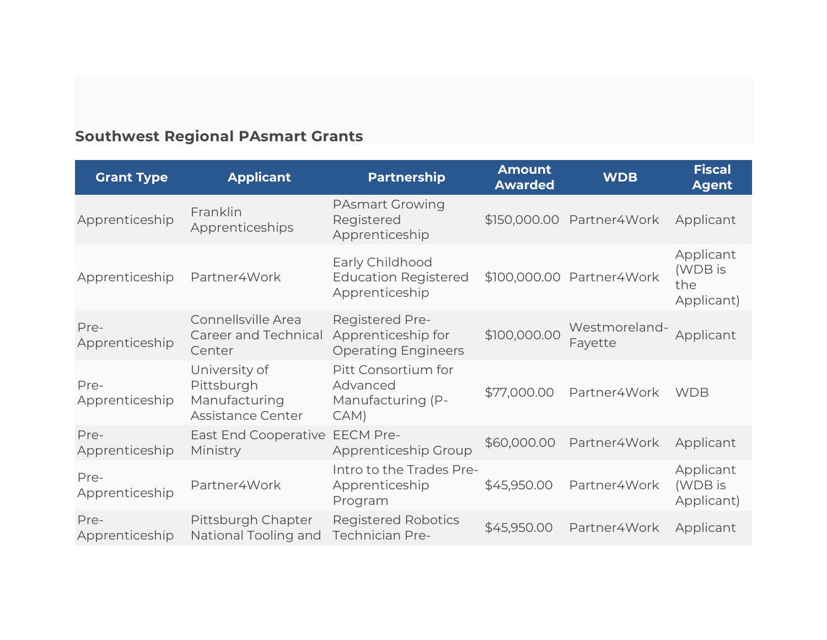# **Southwest Regional PAsmart Grants**

| <b>Grant Type</b>      | <b>Applicant</b>                                                  | <b>Partnership</b>                                                         | <b>Amount</b><br><b>Awarded</b> | <b>WDB</b>                | Fiscal<br><b>Agent</b>                    |
|------------------------|-------------------------------------------------------------------|----------------------------------------------------------------------------|---------------------------------|---------------------------|-------------------------------------------|
| Apprenticeship         | Franklin<br>Apprenticeships                                       | <b>PAsmart Growing</b><br>Registered<br>Apprenticeship                     |                                 | \$150,000.00 Partner4Work | Applicant                                 |
| Apprenticeship         | Partner4Work                                                      | Early Childhood<br><b>Education Registered</b><br>Apprenticeship           |                                 | \$100,000.00 Partner4Work | Applicant<br>(WDB is<br>the<br>Applicant) |
| Pre-<br>Apprenticeship | Connellsville Area<br>Career and Technical<br>Center              | <b>Registered Pre-</b><br>Apprenticeship for<br><b>Operating Engineers</b> | \$100,000.00                    | Westmoreland-<br>Fayette  | Applicant                                 |
| Pre-<br>Apprenticeship | University of<br>Pittsburgh<br>Manufacturing<br>Assistance Center | Pitt Consortium for<br>Advanced<br>Manufacturing (P-<br>CAM)               | \$77,000.00                     | Partner4Work              | <b>WDB</b>                                |
| Pre-<br>Apprenticeship | East End Cooperative<br>Ministry                                  | <b>EECM Pre-</b><br>Apprenticeship Group                                   | \$60,000.00                     | Partner4Work              | Applicant                                 |
| Pre-<br>Apprenticeship | Partner4Work                                                      | Intro to the Trades Pre-<br>Apprenticeship<br>Program                      | \$45,950.00                     | Partner4Work              | Applicant<br>(WDB is<br>Applicant)        |
| Pre-<br>Apprenticeship | Pittsburgh Chapter<br>National Tooling and                        | <b>Registered Robotics</b><br><b>Technician Pre-</b>                       | \$45,950.00                     | Partner4Work              | Applicant                                 |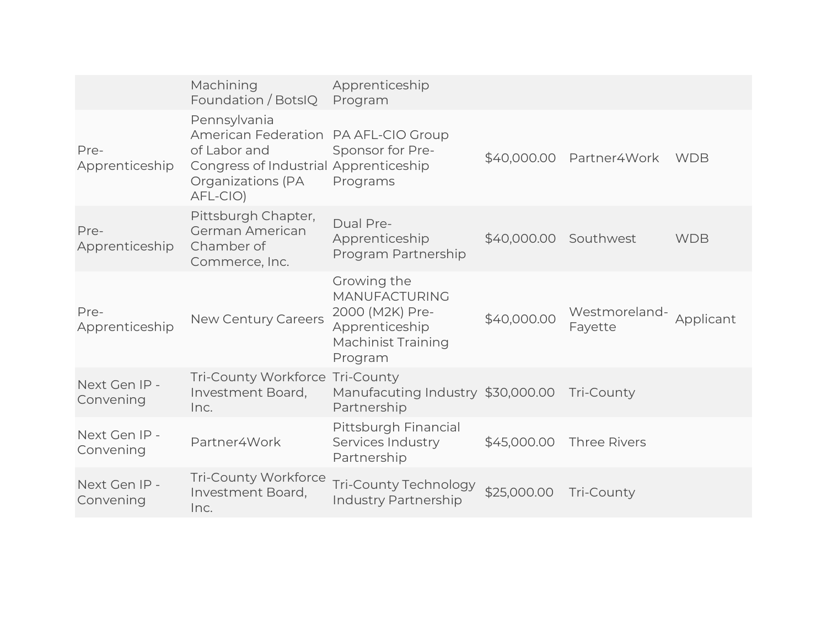|                            | Machining<br>Foundation / BotsIQ                                                                                                     | Apprenticeship<br>Program                                                                                        |                       |                          |            |
|----------------------------|--------------------------------------------------------------------------------------------------------------------------------------|------------------------------------------------------------------------------------------------------------------|-----------------------|--------------------------|------------|
| Pre-<br>Apprenticeship     | Pennsylvania<br><b>American Federation</b><br>of Labor and<br>Congress of Industrial Apprenticeship<br>Organizations (PA<br>AFL-CIO) | PA AFL-CIO Group<br>Sponsor for Pre-<br>Programs                                                                 |                       | \$40,000.00 Partner4Work | <b>WDB</b> |
| Pre-<br>Apprenticeship     | Pittsburgh Chapter,<br>German American<br>Chamber of<br>Commerce, Inc.                                                               | Dual Pre-<br>Apprenticeship<br>Program Partnership                                                               | \$40,000.00 Southwest |                          | <b>WDB</b> |
| Pre-<br>Apprenticeship     | New Century Careers                                                                                                                  | Growing the<br><b>MANUFACTURING</b><br>2000 (M2K) Pre-<br>Apprenticeship<br><b>Machinist Training</b><br>Program | \$40,000.00           | Westmoreland-<br>Fayette | Applicant  |
| Next Gen IP -<br>Convening | Tri-County Workforce<br>Investment Board,<br>Inc.                                                                                    | Tri-County<br>Manufacuting Industry \$30,000.00<br>Partnership                                                   |                       | Tri-County               |            |
| Next Gen IP -<br>Convening | Partner4Work                                                                                                                         | Pittsburgh Financial<br>Services Industry<br>Partnership                                                         | \$45,000.00           | <b>Three Rivers</b>      |            |
| Next Gen IP -<br>Convening | <b>Tri-County Workforce</b><br>Investment Board,<br>Inc.                                                                             | Tri-County Technology<br>Industry Partnership                                                                    | \$25,000.00           | Tri-County               |            |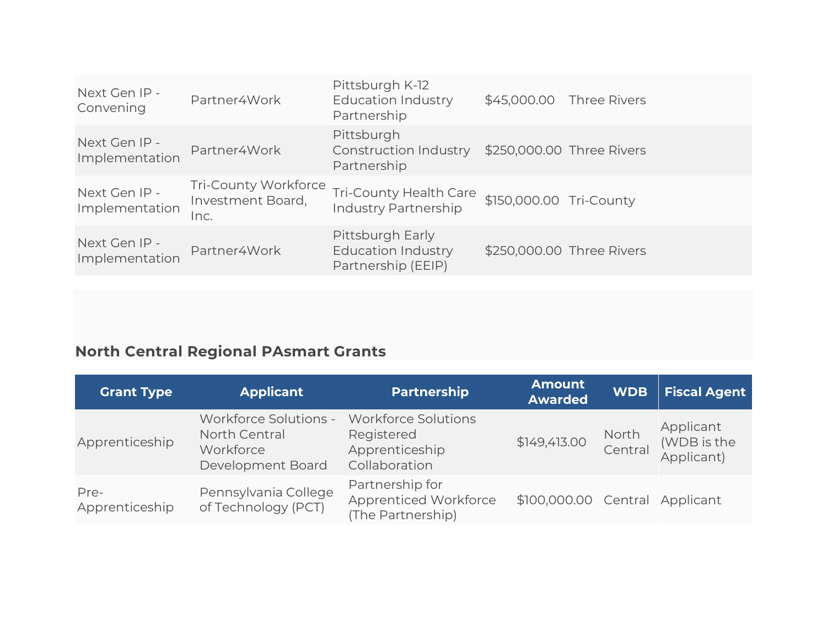| Next Gen IP -<br>Convening      | Partner4Work                                      | Pittsburgh K-12<br><b>Education Industry</b><br>Partnership         |                         | \$45,000.00 Three Rivers  |
|---------------------------------|---------------------------------------------------|---------------------------------------------------------------------|-------------------------|---------------------------|
| Next Gen IP -<br>Implementation | Partner4Work                                      | Pittsburgh<br>Construction Industry<br>Partnership                  |                         | \$250,000.00 Three Rivers |
| Next Gen IP -<br>Implementation | Tri-County Workforce<br>Investment Board,<br>Inc. | Tri-County Health Care<br><b>Industry Partnership</b>               | \$150,000.00 Tri-County |                           |
| Next Gen IP -<br>Implementation | Partner4Work                                      | Pittsburgh Early<br><b>Education Industry</b><br>Partnership (EEIP) |                         | \$250,000.00 Three Rivers |

# **North Central Regional PAsmart Grants**

| <b>Grant Type</b>      | <b>Applicant</b>                                                         | <b>Partnership</b>                                                          | <b>Amount</b><br><b>Awarded</b> | <b>WDB</b>       | <b>Fiscal Agent</b>                    |
|------------------------|--------------------------------------------------------------------------|-----------------------------------------------------------------------------|---------------------------------|------------------|----------------------------------------|
| Apprenticeship         | Workforce Solutions -<br>North Central<br>Workforce<br>Development Board | <b>Workforce Solutions</b><br>Registered<br>Apprenticeship<br>Collaboration | \$149,413.00                    | North<br>Central | Applicant<br>(WDB is the<br>Applicant) |
| Pre-<br>Apprenticeship | Pennsylvania College<br>of Technology (PCT)                              | Partnership for<br>Apprenticed Workforce<br>(The Partnership)               | \$100,000.00 Central            |                  | Applicant                              |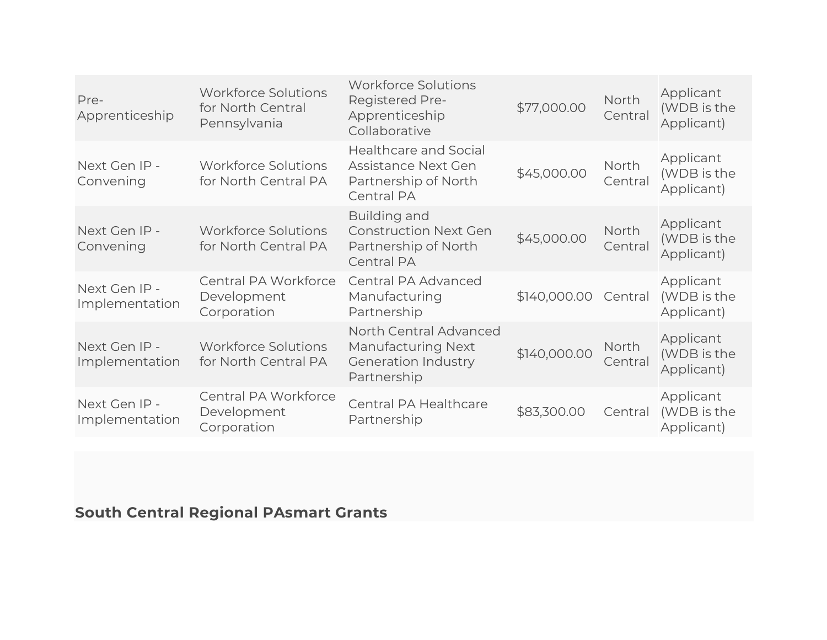| Pre-<br>Apprenticeship          | <b>Workforce Solutions</b><br>for North Central<br>Pennsylvania | <b>Workforce Solutions</b><br><b>Registered Pre-</b><br>Apprenticeship<br>Collaborative          | \$77,000.00  | North<br>Central | Applicant<br>(WDB is the<br>Applicant) |
|---------------------------------|-----------------------------------------------------------------|--------------------------------------------------------------------------------------------------|--------------|------------------|----------------------------------------|
| Next Gen IP -<br>Convening      | <b>Workforce Solutions</b><br>for North Central PA              | <b>Healthcare and Social</b><br>Assistance Next Gen<br>Partnership of North<br><b>Central PA</b> | \$45,000.00  | North<br>Central | Applicant<br>(WDB is the<br>Applicant) |
| Next Gen IP -<br>Convening      | <b>Workforce Solutions</b><br>for North Central PA              | Building and<br><b>Construction Next Gen</b><br>Partnership of North<br><b>Central PA</b>        | \$45,000.00  | North<br>Central | Applicant<br>(WDB is the<br>Applicant) |
| Next Gen IP -<br>Implementation | Central PA Workforce<br>Development<br>Corporation              | Central PA Advanced<br>Manufacturing<br>Partnership                                              | \$140,000.00 | Central          | Applicant<br>(WDB is the<br>Applicant) |
| Next Gen IP -<br>Implementation | <b>Workforce Solutions</b><br>for North Central PA              | North Central Advanced<br><b>Manufacturing Next</b><br><b>Generation Industry</b><br>Partnership | \$140,000.00 | North<br>Central | Applicant<br>(WDB is the<br>Applicant) |
| Next Gen IP -<br>Implementation | Central PA Workforce<br>Development<br>Corporation              | Central PA Healthcare<br>Partnership                                                             | \$83,300.00  | Central          | Applicant<br>(WDB is the<br>Applicant) |

## **South Central Regional PAsmart Grants**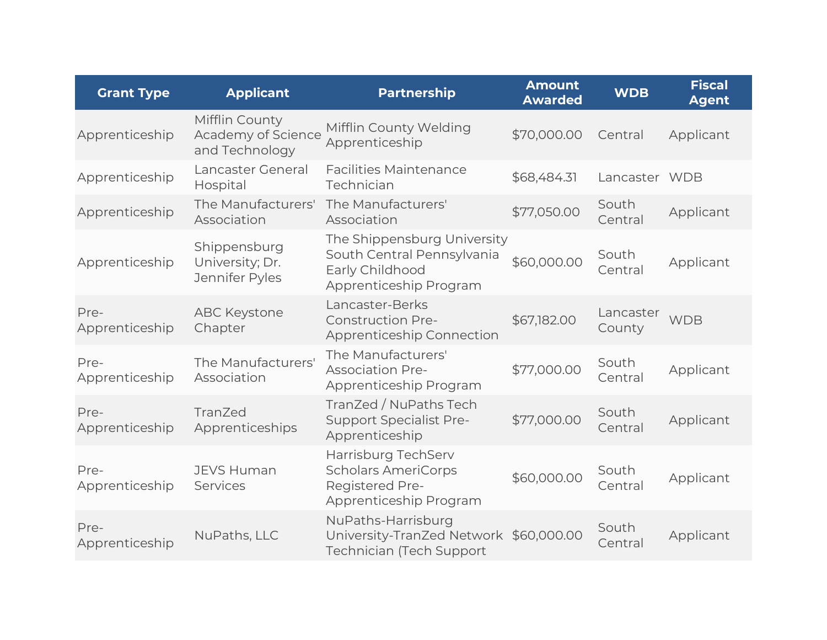| <b>Grant Type</b>      | <b>Applicant</b>                                       | <b>Partnership</b>                                                                                     | <b>Amount</b><br><b>Awarded</b> | <b>WDB</b>          | <b>Fiscal</b><br><b>Agent</b> |
|------------------------|--------------------------------------------------------|--------------------------------------------------------------------------------------------------------|---------------------------------|---------------------|-------------------------------|
| Apprenticeship         | Mifflin County<br>Academy of Science<br>and Technology | Mifflin County Welding<br>Apprenticeship                                                               | \$70,000.00                     | Central             | Applicant                     |
| Apprenticeship         | Lancaster General<br>Hospital                          | <b>Facilities Maintenance</b><br>Technician                                                            | \$68,484.31                     | Lancaster WDB       |                               |
| Apprenticeship         | The Manufacturers'<br>Association                      | The Manufacturers'<br>Association                                                                      | \$77,050.00                     | South<br>Central    | Applicant                     |
| Apprenticeship         | Shippensburg<br>University; Dr.<br>Jennifer Pyles      | The Shippensburg University<br>South Central Pennsylvania<br>Early Childhood<br>Apprenticeship Program | \$60,000.00                     | South<br>Central    | Applicant                     |
| Pre-<br>Apprenticeship | <b>ABC Keystone</b><br>Chapter                         | Lancaster-Berks<br><b>Construction Pre-</b><br>Apprenticeship Connection                               | \$67,182.00                     | Lancaster<br>County | <b>WDB</b>                    |
| Pre-<br>Apprenticeship | The Manufacturers'<br>Association                      | The Manufacturers'<br><b>Association Pre-</b><br>Apprenticeship Program                                | \$77,000.00                     | South<br>Central    | Applicant                     |
| Pre-<br>Apprenticeship | TranZed<br>Apprenticeships                             | TranZed / NuPaths Tech<br><b>Support Specialist Pre-</b><br>Apprenticeship                             | \$77,000.00                     | South<br>Central    | Applicant                     |
| Pre-<br>Apprenticeship | <b>JEVS Human</b><br>Services                          | Harrisburg TechServ<br><b>Scholars AmeriCorps</b><br><b>Registered Pre-</b><br>Apprenticeship Program  | \$60,000.00                     | South<br>Central    | Applicant                     |
| Pre-<br>Apprenticeship | NuPaths, LLC                                           | NuPaths-Harrisburg<br>University-TranZed Network<br><b>Technician (Tech Support</b>                    | \$60,000.00                     | South<br>Central    | Applicant                     |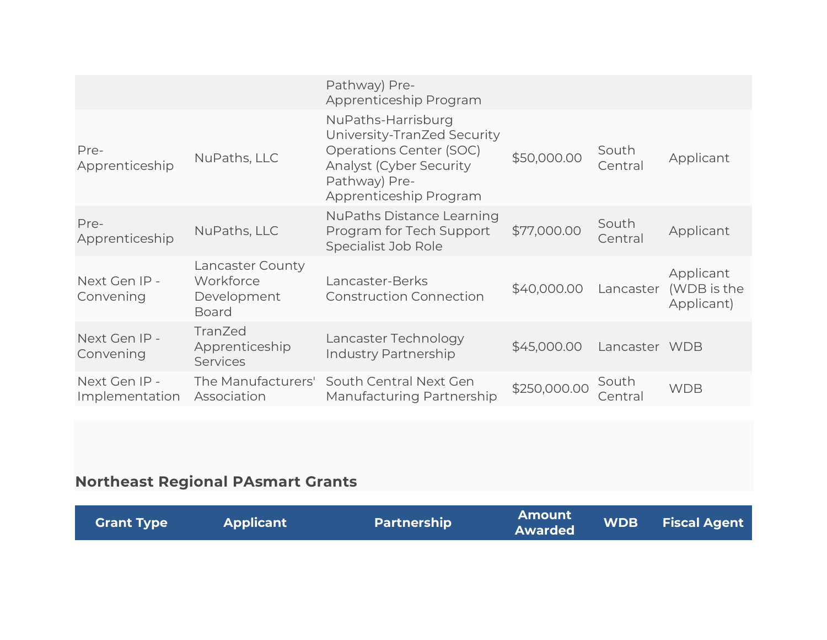|                                 |                                                              | Pathway) Pre-<br>Apprenticeship Program                                                                                                                    |              |                  |                                        |
|---------------------------------|--------------------------------------------------------------|------------------------------------------------------------------------------------------------------------------------------------------------------------|--------------|------------------|----------------------------------------|
| Pre-<br>Apprenticeship          | NuPaths, LLC                                                 | NuPaths-Harrisburg<br>University-TranZed Security<br>Operations Center (SOC)<br><b>Analyst (Cyber Security)</b><br>Pathway) Pre-<br>Apprenticeship Program | \$50,000.00  | South<br>Central | Applicant                              |
| Pre-<br>Apprenticeship          | NuPaths, LLC                                                 | <b>NuPaths Distance Learning</b><br>Program for Tech Support<br>Specialist Job Role                                                                        | \$77,000.00  | South<br>Central | Applicant                              |
| Next Gen IP -<br>Convening      | Lancaster County<br>Workforce<br>Development<br><b>Board</b> | Lancaster-Berks<br><b>Construction Connection</b>                                                                                                          | \$40,000.00  | Lancaster        | Applicant<br>(WDB is the<br>Applicant) |
| Next Gen IP -<br>Convening      | TranZed<br>Apprenticeship<br><b>Services</b>                 | Lancaster Technology<br>Industry Partnership                                                                                                               | \$45,000.00  | Lancaster WDB    |                                        |
| Next Gen IP -<br>Implementation | The Manufacturers'<br>Association                            | South Central Next Gen<br>Manufacturing Partnership                                                                                                        | \$250,000.00 | South<br>Central | <b>WDB</b>                             |

## **Northeast Regional PAsmart Grants**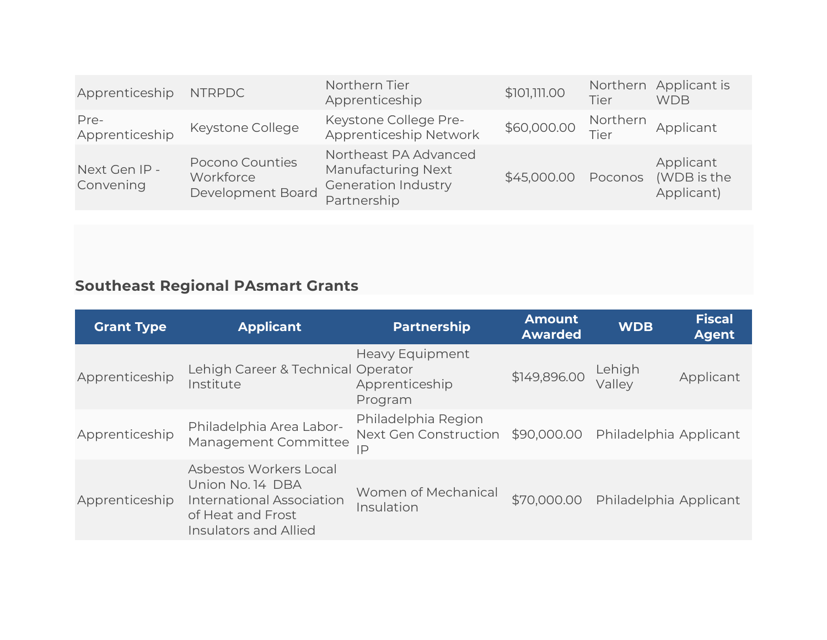| Apprenticeship             | <b>NTRPDC</b>                                     | Northern Tier<br>Apprenticeship                                                                 | \$101,111.00 | Tier             | Northern Applicant is<br><b>WDB</b>    |
|----------------------------|---------------------------------------------------|-------------------------------------------------------------------------------------------------|--------------|------------------|----------------------------------------|
| Pre-<br>Apprenticeship     | Keystone College                                  | Keystone College Pre-<br>Apprenticeship Network                                                 | \$60,000.00  | Northern<br>Tier | Applicant                              |
| Next Gen IP -<br>Convening | Pocono Counties<br>Workforce<br>Development Board | Northeast PA Advanced<br><b>Manufacturing Next</b><br><b>Generation Industry</b><br>Partnership | \$45,000.00  | Poconos          | Applicant<br>(WDB is the<br>Applicant) |

## **Southeast Regional PAsmart Grants**

| <b>Grant Type</b> | <b>Applicant</b>                                                                                                      | Partnership                                                    | <b>Amount</b><br><b>Awarded</b> | <b>WDB</b>             | Fiscal<br><b>Agent</b> |
|-------------------|-----------------------------------------------------------------------------------------------------------------------|----------------------------------------------------------------|---------------------------------|------------------------|------------------------|
| Apprenticeship    | Lehigh Career & Technical Operator<br>Institute                                                                       | Heavy Equipment<br>Apprenticeship<br>Program                   | \$149,896.00                    | Lehigh<br>Vallev       | Applicant              |
| Apprenticeship    | Philadelphia Area Labor-<br>Management Committee                                                                      | Philadelphia Region<br>Next Gen Construction \$90,000.00<br>IP |                                 | Philadelphia Applicant |                        |
| Apprenticeship    | Asbestos Workers Local<br>Union No. 14 DBA<br>International Association<br>of Heat and Frost<br>Insulators and Allied | Women of Mechanical<br>Insulation                              | \$70,000.00                     | Philadelphia Applicant |                        |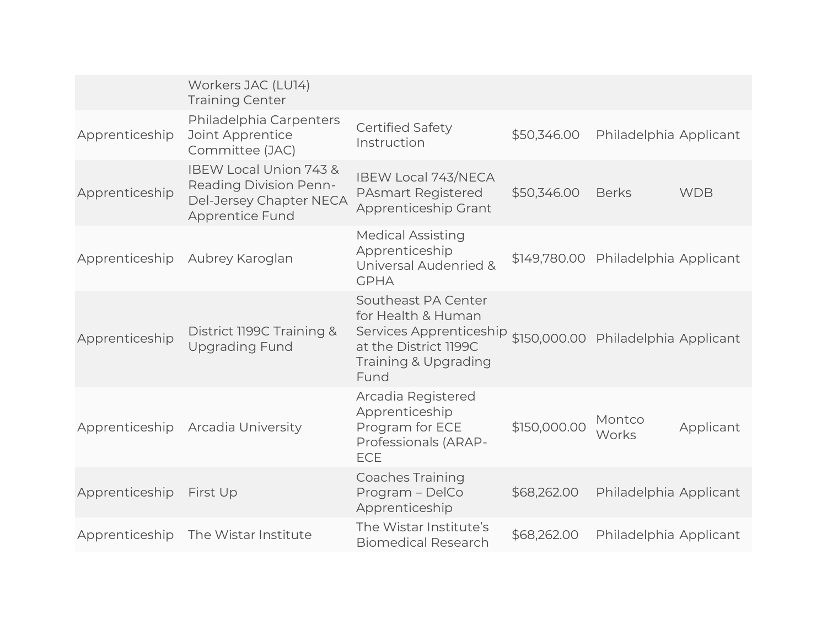|                | Workers JAC (LU14)<br><b>Training Center</b>                                                                 |                                                                                                                                                                   |              |                                     |            |
|----------------|--------------------------------------------------------------------------------------------------------------|-------------------------------------------------------------------------------------------------------------------------------------------------------------------|--------------|-------------------------------------|------------|
| Apprenticeship | Philadelphia Carpenters<br>Joint Apprentice<br>Committee (JAC)                                               | <b>Certified Safety</b><br>Instruction                                                                                                                            | \$50,346.00  | Philadelphia Applicant              |            |
| Apprenticeship | IBEW Local Union 743 &<br><b>Reading Division Penn-</b><br>Del-Jersey Chapter NECA<br><b>Apprentice Fund</b> | <b>IBEW Local 743/NECA</b><br><b>PAsmart Registered</b><br>Apprenticeship Grant                                                                                   | \$50,346.00  | <b>Berks</b>                        | <b>WDB</b> |
|                | Apprenticeship Aubrey Karoglan                                                                               | <b>Medical Assisting</b><br>Apprenticeship<br>Universal Audenried &<br><b>GPHA</b>                                                                                |              | \$149,780.00 Philadelphia Applicant |            |
| Apprenticeship | District 1199C Training &<br><b>Upgrading Fund</b>                                                           | Southeast PA Center<br>for Health & Human<br>Services Apprenticeship \$150,000.00 Philadelphia Applicant<br>at the District 1199C<br>Training & Upgrading<br>Fund |              |                                     |            |
|                | Apprenticeship Arcadia University                                                                            | Arcadia Registered<br>Apprenticeship<br>Program for ECE<br>Professionals (ARAP-<br><b>ECE</b>                                                                     | \$150,000.00 | Montco<br>Works                     | Applicant  |
| Apprenticeship | First Up                                                                                                     | <b>Coaches Training</b><br>Program - DelCo<br>Apprenticeship                                                                                                      | \$68,262.00  | Philadelphia Applicant              |            |
| Apprenticeship | The Wistar Institute                                                                                         | The Wistar Institute's<br><b>Biomedical Research</b>                                                                                                              | \$68,262.00  | Philadelphia Applicant              |            |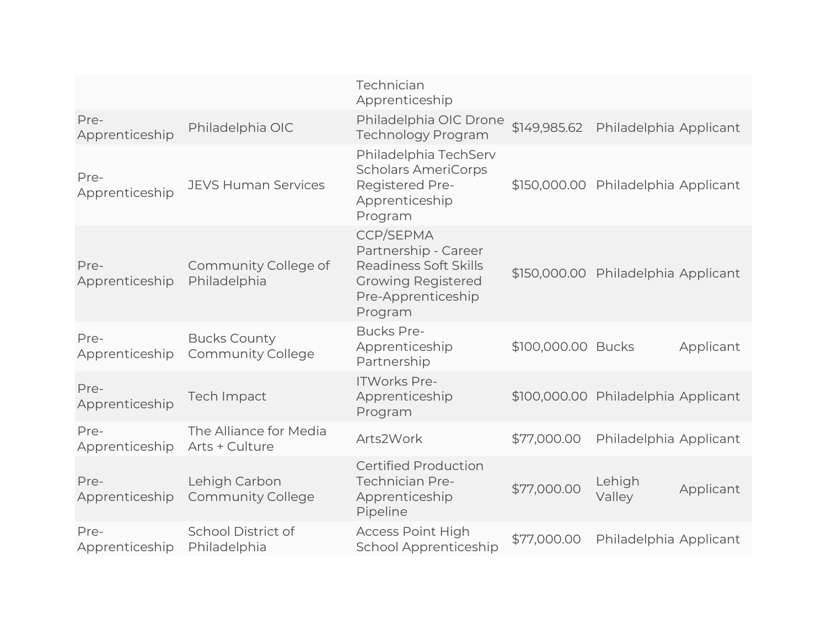|                        |                                                 | Technician<br>Apprenticeship                                                                                                    |                    |                                     |           |
|------------------------|-------------------------------------------------|---------------------------------------------------------------------------------------------------------------------------------|--------------------|-------------------------------------|-----------|
| Pre-<br>Apprenticeship | Philadelphia OIC                                | Philadelphia OIC Drone<br><b>Technology Program</b>                                                                             | \$149,985.62       | Philadelphia Applicant              |           |
| Pre-<br>Apprenticeship | <b>JEVS Human Services</b>                      | Philadelphia TechServ<br><b>Scholars AmeriCorps</b><br>Registered Pre-<br>Apprenticeship<br>Program                             |                    | \$150,000.00 Philadelphia Applicant |           |
| Pre-<br>Apprenticeship | Community College of<br>Philadelphia            | <b>CCP/SEPMA</b><br>Partnership - Career<br>Readiness Soft Skills<br><b>Growing Registered</b><br>Pre-Apprenticeship<br>Program |                    | \$150,000.00 Philadelphia Applicant |           |
| Pre-<br>Apprenticeship | <b>Bucks County</b><br><b>Community College</b> | <b>Bucks Pre-</b><br>Apprenticeship<br>Partnership                                                                              | \$100,000.00 Bucks |                                     | Applicant |
| Pre-<br>Apprenticeship | Tech Impact                                     | <b>ITWorks Pre-</b><br>Apprenticeship<br>Program                                                                                |                    | \$100,000.00 Philadelphia Applicant |           |
| Pre-<br>Apprenticeship | The Alliance for Media<br>Arts + Culture        | Arts2Work                                                                                                                       | \$77,000.00        | Philadelphia Applicant              |           |
| Pre-<br>Apprenticeship | Lehigh Carbon<br><b>Community College</b>       | <b>Certified Production</b><br><b>Technician Pre-</b><br>Apprenticeship<br>Pipeline                                             | \$77,000.00        | Lehigh<br>Valley                    | Applicant |
| Pre-<br>Apprenticeship | School District of<br>Philadelphia              | <b>Access Point High</b><br><b>School Apprenticeship</b>                                                                        | \$77,000.00        | Philadelphia Applicant              |           |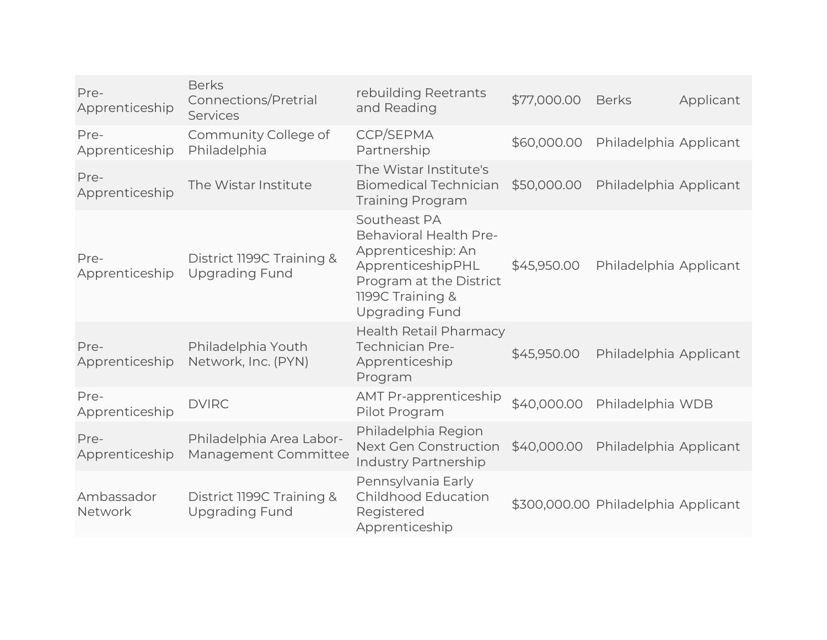| Pre-<br>Apprenticeship | <b>Berks</b><br>Connections/Pretrial<br>Services   | rebuilding Reetrants<br>and Reading                                                                                                                              | \$77,000.00 | <b>Berks</b>                        | Applicant |
|------------------------|----------------------------------------------------|------------------------------------------------------------------------------------------------------------------------------------------------------------------|-------------|-------------------------------------|-----------|
| Pre-<br>Apprenticeship | Community College of<br>Philadelphia               | CCP/SEPMA<br>Partnership                                                                                                                                         | \$60,000.00 | Philadelphia Applicant              |           |
| Pre-<br>Apprenticeship | The Wistar Institute                               | The Wistar Institute's<br><b>Biomedical Technician</b><br><b>Training Program</b>                                                                                | \$50,000.00 | Philadelphia Applicant              |           |
| Pre-<br>Apprenticeship | District 1199C Training &<br><b>Upgrading Fund</b> | Southeast PA<br><b>Behavioral Health Pre-</b><br>Apprenticeship: An<br>ApprenticeshipPHL<br>Program at the District<br>1199C Training &<br><b>Upgrading Fund</b> | \$45,950.00 | Philadelphia Applicant              |           |
| Pre-<br>Apprenticeship | Philadelphia Youth<br>Network, Inc. (PYN)          | <b>Health Retail Pharmacy</b><br><b>Technician Pre-</b><br>Apprenticeship<br>Program                                                                             | \$45,950.00 | Philadelphia Applicant              |           |
| Pre-<br>Apprenticeship | <b>DVIRC</b>                                       | <b>AMT Pr-apprenticeship</b><br>Pilot Program                                                                                                                    | \$40,000.00 | Philadelphia WDB                    |           |
| Pre-<br>Apprenticeship | Philadelphia Area Labor-<br>Management Committee   | Philadelphia Region<br>Next Gen Construction<br><b>Industry Partnership</b>                                                                                      | \$40,000.00 | Philadelphia Applicant              |           |
| Ambassador<br>Network  | District 1199C Training &<br><b>Upgrading Fund</b> | Pennsylvania Early<br><b>Childhood Education</b><br>Registered<br>Apprenticeship                                                                                 |             | \$300,000.00 Philadelphia Applicant |           |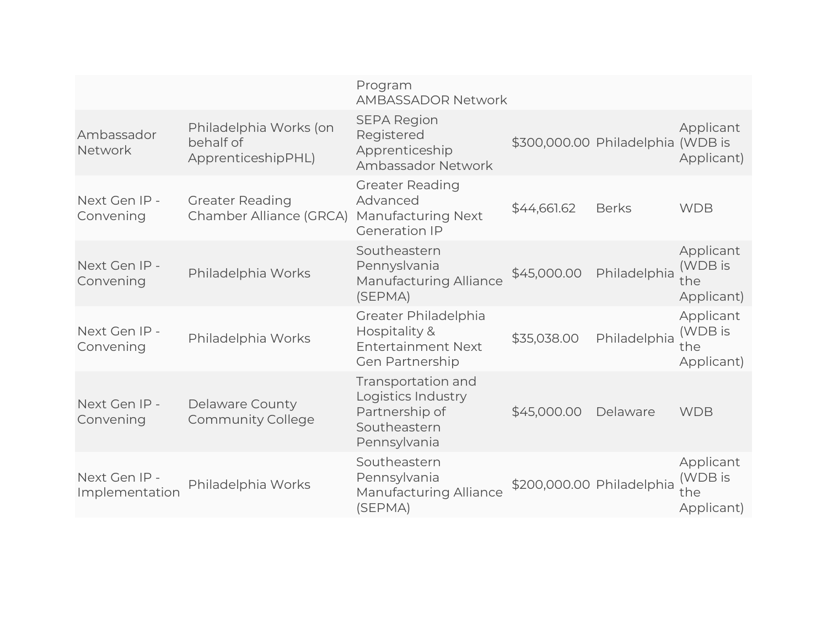|                                 |                                                           | Program<br><b>AMBASSADOR Network</b>                                                       |             |                                   |                                           |
|---------------------------------|-----------------------------------------------------------|--------------------------------------------------------------------------------------------|-------------|-----------------------------------|-------------------------------------------|
| Ambassador<br>Network           | Philadelphia Works (on<br>behalf of<br>ApprenticeshipPHL) | <b>SEPA Region</b><br>Registered<br>Apprenticeship<br>Ambassador Network                   |             | \$300,000.00 Philadelphia (WDB is | Applicant<br>Applicant)                   |
| Next Gen IP -<br>Convening      | <b>Greater Reading</b><br>Chamber Alliance (GRCA)         | <b>Greater Reading</b><br>Advanced<br><b>Manufacturing Next</b><br><b>Generation IP</b>    | \$44,661.62 | <b>Berks</b>                      | <b>WDB</b>                                |
| Next Gen IP -<br>Convening      | Philadelphia Works                                        | Southeastern<br>Pennyslvania<br><b>Manufacturing Alliance</b><br>(SEPMA)                   | \$45,000.00 | Philadelphia                      | Applicant<br>(WDB is<br>the<br>Applicant) |
| Next Gen IP -<br>Convening      | Philadelphia Works                                        | Greater Philadelphia<br>Hospitality &<br><b>Entertainment Next</b><br>Gen Partnership      | \$35,038.00 | Philadelphia                      | Applicant<br>(WDB is<br>the<br>Applicant) |
| Next Gen IP -<br>Convening      | Delaware County<br><b>Community College</b>               | Transportation and<br>Logistics Industry<br>Partnership of<br>Southeastern<br>Pennsylvania | \$45,000.00 | Delaware                          | <b>WDB</b>                                |
| Next Gen IP -<br>Implementation | Philadelphia Works                                        | Southeastern<br>Pennsylvania<br><b>Manufacturing Alliance</b><br>(SEPMA)                   |             | \$200,000.00 Philadelphia         | Applicant<br>(WDB is<br>the<br>Applicant) |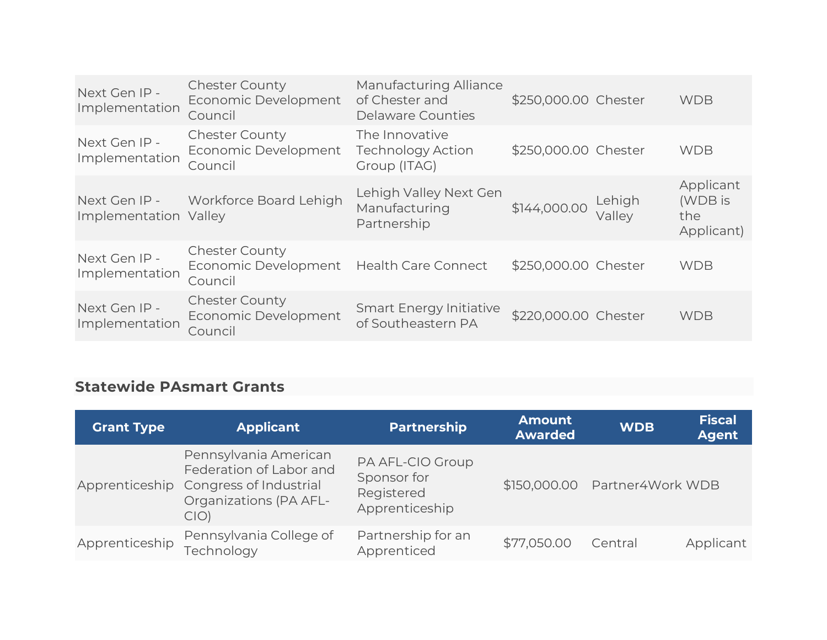| Next Gen IP -<br>Implementation | <b>Chester County</b><br>Economic Development<br>Council                     | Manufacturing Alliance<br>of Chester and<br>Delaware Counties | \$250,000.00 Chester |                  | <b>WDB</b>                                |
|---------------------------------|------------------------------------------------------------------------------|---------------------------------------------------------------|----------------------|------------------|-------------------------------------------|
| Next Gen IP -<br>Implementation | <b>Chester County</b><br>Economic Development<br>Council                     | The Innovative<br><b>Technology Action</b><br>Group (ITAG)    | \$250,000.00 Chester |                  | <b>WDB</b>                                |
| Implementation Valley           | Next Gen IP - Workforce Board Lehigh                                         | Lehigh Valley Next Gen<br>Manufacturing<br>Partnership        | \$144,000.00         | Lehigh<br>Vallev | Applicant<br>(WDB is<br>the<br>Applicant) |
| Next Gen IP -<br>Implementation | <b>Chester County</b><br>Economic Development Health Care Connect<br>Council |                                                               | \$250,000.00 Chester |                  | <b>WDB</b>                                |
| Next Gen IP -<br>Implementation | <b>Chester County</b><br>Economic Development<br>Council                     | <b>Smart Energy Initiative</b><br>of Southeastern PA          | \$220,000.00 Chester |                  | <b>WDB</b>                                |

#### **Statewide PAsmart Grants**

| <b>Grant Type</b> | <b>Applicant</b>                                                                                                           | <b>Partnership</b>                                              | <b>Amount</b><br><b>Awarded</b> | <b>WDB</b>                       | <b>Fiscal</b><br><b>Agent</b> |
|-------------------|----------------------------------------------------------------------------------------------------------------------------|-----------------------------------------------------------------|---------------------------------|----------------------------------|-------------------------------|
|                   | Pennsylvania American<br>Federation of Labor and<br>Apprenticeship Congress of Industrial<br>Organizations (PA AFL-<br>CIO | PA AFL-CIO Group<br>Sponsor for<br>Registered<br>Apprenticeship |                                 | \$150,000.00    Partner4Work WDB |                               |
| Apprenticeship    | Pennsylvania College of<br>Technology                                                                                      | Partnership for an<br>Apprenticed                               | \$77,050.00                     | Central                          | Applicant                     |